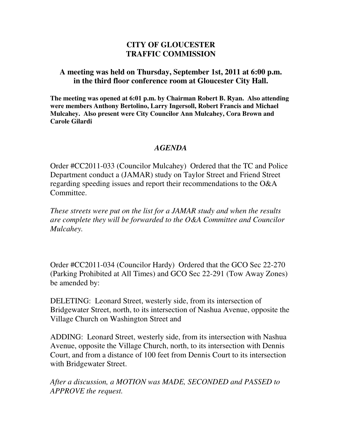## **CITY OF GLOUCESTER TRAFFIC COMMISSION**

## **A meeting was held on Thursday, September 1st, 2011 at 6:00 p.m. in the third floor conference room at Gloucester City Hall.**

**The meeting was opened at 6:01 p.m. by Chairman Robert B. Ryan. Also attending were members Anthony Bertolino, Larry Ingersoll, Robert Francis and Michael Mulcahey. Also present were City Councilor Ann Mulcahey, Cora Brown and Carole Gilardi** 

## *AGENDA*

Order #CC2011-033 (Councilor Mulcahey) Ordered that the TC and Police Department conduct a (JAMAR) study on Taylor Street and Friend Street regarding speeding issues and report their recommendations to the O&A Committee.

*These streets were put on the list for a JAMAR study and when the results are complete they will be forwarded to the O&A Committee and Councilor Mulcahey.* 

Order #CC2011-034 (Councilor Hardy) Ordered that the GCO Sec 22-270 (Parking Prohibited at All Times) and GCO Sec 22-291 (Tow Away Zones) be amended by:

DELETING: Leonard Street, westerly side, from its intersection of Bridgewater Street, north, to its intersection of Nashua Avenue, opposite the Village Church on Washington Street and

ADDING: Leonard Street, westerly side, from its intersection with Nashua Avenue, opposite the Village Church, north, to its intersection with Dennis Court, and from a distance of 100 feet from Dennis Court to its intersection with Bridgewater Street.

*After a discussion, a MOTION was MADE, SECONDED and PASSED to APPROVE the request.*